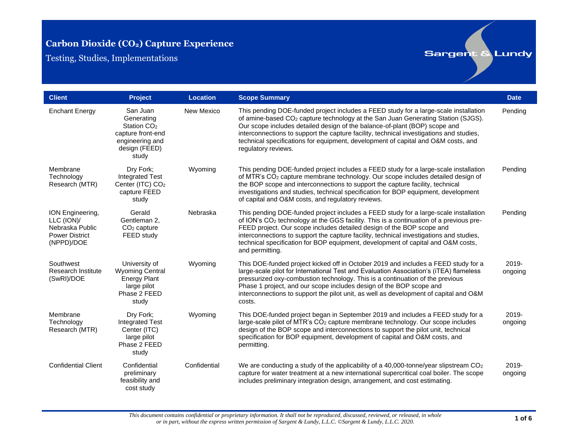Testing, Studies, Implementations

| <b>Client</b>                                                                            | <b>Project</b>                                                                                                      | <b>Location</b> | <b>Scope Summary</b>                                                                                                                                                                                                                                                                                                                                                                                                                                                      | <b>Date</b>         |
|------------------------------------------------------------------------------------------|---------------------------------------------------------------------------------------------------------------------|-----------------|---------------------------------------------------------------------------------------------------------------------------------------------------------------------------------------------------------------------------------------------------------------------------------------------------------------------------------------------------------------------------------------------------------------------------------------------------------------------------|---------------------|
| <b>Enchant Energy</b>                                                                    | San Juan<br>Generating<br>Station CO <sub>2</sub><br>capture front-end<br>engineering and<br>design (FEED)<br>study | New Mexico      | This pending DOE-funded project includes a FEED study for a large-scale installation<br>of amine-based CO <sub>2</sub> capture technology at the San Juan Generating Station (SJGS).<br>Our scope includes detailed design of the balance-of-plant (BOP) scope and<br>interconnections to support the capture facility, technical investigations and studies,<br>technical specifications for equipment, development of capital and O&M costs, and<br>regulatory reviews. | Pending             |
| Membrane<br>Technology<br>Research (MTR)                                                 | Dry Fork:<br><b>Integrated Test</b><br>Center (ITC) CO <sub>2</sub><br>capture FEED<br>study                        | Wyoming         | This pending DOE-funded project includes a FEED study for a large-scale installation<br>of MTR's CO <sub>2</sub> capture membrane technology. Our scope includes detailed design of<br>the BOP scope and interconnections to support the capture facility, technical<br>investigations and studies, technical specification for BOP equipment, development<br>of capital and O&M costs, and regulatory reviews.                                                           | Pending             |
| ION Engineering,<br>LLC (ION)/<br>Nebraska Public<br><b>Power District</b><br>(NPPD)/DOE | Gerald<br>Gentleman 2.<br>$CO2$ capture<br>FEED study                                                               | Nebraska        | This pending DOE-funded project includes a FEED study for a large-scale installation<br>of ION's CO <sub>2</sub> technology at the GGS facility. This is a continuation of a previous pre-<br>FEED project. Our scope includes detailed design of the BOP scope and<br>interconnections to support the capture facility, technical investigations and studies,<br>technical specification for BOP equipment, development of capital and O&M costs,<br>and permitting.     | Pending             |
| Southwest<br><b>Research Institute</b><br>(SwRI)/DOE                                     | University of<br><b>Wyoming Central</b><br><b>Energy Plant</b><br>large pilot<br>Phase 2 FEED<br>study              | Wyoming         | This DOE-funded project kicked off in October 2019 and includes a FEED study for a<br>large-scale pilot for International Test and Evaluation Association's (iTEA) flameless<br>pressurized oxy-combustion technology. This is a continuation of the previous<br>Phase 1 project, and our scope includes design of the BOP scope and<br>interconnections to support the pilot unit, as well as development of capital and O&M<br>costs.                                   | 2019-<br>ongoing    |
| Membrane<br>Technology<br>Research (MTR)                                                 | Dry Fork:<br><b>Integrated Test</b><br>Center (ITC)<br>large pilot<br>Phase 2 FEED<br>study                         | Wyoming         | This DOE-funded project began in September 2019 and includes a FEED study for a<br>large-scale pilot of MTR's CO <sub>2</sub> capture membrane technology. Our scope includes<br>design of the BOP scope and interconnections to support the pilot unit, technical<br>specification for BOP equipment, development of capital and O&M costs, and<br>permitting.                                                                                                           | 2019-<br>ongoing    |
| <b>Confidential Client</b>                                                               | Confidential<br>preliminary<br>feasibility and<br>cost study                                                        | Confidential    | We are conducting a study of the applicability of a 40,000-tonne/year slipstream $CO2$<br>capture for water treatment at a new international supercritical coal boiler. The scope<br>includes preliminary integration design, arrangement, and cost estimating.                                                                                                                                                                                                           | $2019 -$<br>ongoing |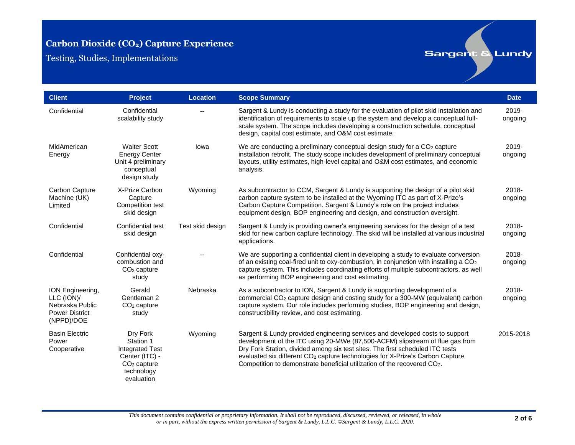Testing, Studies, Implementations

| <b>Client</b>                                                                            | <b>Project</b>                                                                                                 | <b>Location</b>  | <b>Scope Summary</b>                                                                                                                                                                                                                                                                                                                                                                                                   | <b>Date</b>         |
|------------------------------------------------------------------------------------------|----------------------------------------------------------------------------------------------------------------|------------------|------------------------------------------------------------------------------------------------------------------------------------------------------------------------------------------------------------------------------------------------------------------------------------------------------------------------------------------------------------------------------------------------------------------------|---------------------|
| Confidential                                                                             | Confidential<br>scalability study                                                                              |                  | Sargent & Lundy is conducting a study for the evaluation of pilot skid installation and<br>identification of requirements to scale up the system and develop a conceptual full-<br>scale system. The scope includes developing a construction schedule, conceptual<br>design, capital cost estimate, and O&M cost estimate.                                                                                            | $2019 -$<br>ongoing |
| MidAmerican<br>Energy                                                                    | <b>Walter Scott</b><br><b>Energy Center</b><br>Unit 4 preliminary<br>conceptual<br>design study                | lowa             | We are conducting a preliminary conceptual design study for a $CO2$ capture<br>installation retrofit. The study scope includes development of preliminary conceptual<br>layouts, utility estimates, high-level capital and O&M cost estimates, and economic<br>analysis.                                                                                                                                               | $2019 -$<br>ongoing |
| Carbon Capture<br>Machine (UK)<br>Limited                                                | X-Prize Carbon<br>Capture<br>Competition test<br>skid design                                                   | Wyoming          | As subcontractor to CCM, Sargent & Lundy is supporting the design of a pilot skid<br>carbon capture system to be installed at the Wyoming ITC as part of X-Prize's<br>Carbon Capture Competition. Sargent & Lundy's role on the project includes<br>equipment design, BOP engineering and design, and construction oversight.                                                                                          | $2018 -$<br>ongoing |
| Confidential                                                                             | Confidential test<br>skid design                                                                               | Test skid design | Sargent & Lundy is providing owner's engineering services for the design of a test<br>skid for new carbon capture technology. The skid will be installed at various industrial<br>applications.                                                                                                                                                                                                                        | 2018-<br>ongoing    |
| Confidential                                                                             | Confidential oxy-<br>combustion and<br>$CO2$ capture<br>study                                                  |                  | We are supporting a confidential client in developing a study to evaluate conversion<br>of an existing coal-fired unit to oxy-combustion, in conjunction with installing a CO <sub>2</sub><br>capture system. This includes coordinating efforts of multiple subcontractors, as well<br>as performing BOP engineering and cost estimating.                                                                             | 2018-<br>ongoing    |
| ION Engineering,<br>LLC (ION)/<br>Nebraska Public<br><b>Power District</b><br>(NPPD)/DOE | Gerald<br>Gentleman 2<br>$CO2$ capture<br>study                                                                | Nebraska         | As a subcontractor to ION, Sargent & Lundy is supporting development of a<br>commercial CO <sub>2</sub> capture design and costing study for a 300-MW (equivalent) carbon<br>capture system. Our role includes performing studies, BOP engineering and design,<br>constructibility review, and cost estimating.                                                                                                        | 2018-<br>ongoing    |
| <b>Basin Electric</b><br>Power<br>Cooperative                                            | Dry Fork<br>Station 1<br><b>Integrated Test</b><br>Center (ITC) -<br>$CO2$ capture<br>technology<br>evaluation | Wyoming          | Sargent & Lundy provided engineering services and developed costs to support<br>development of the ITC using 20-MWe (87,500-ACFM) slipstream of flue gas from<br>Dry Fork Station, divided among six test sites. The first scheduled ITC tests<br>evaluated six different CO <sub>2</sub> capture technologies for X-Prize's Carbon Capture<br>Competition to demonstrate beneficial utilization of the recovered CO2. | 2015-2018           |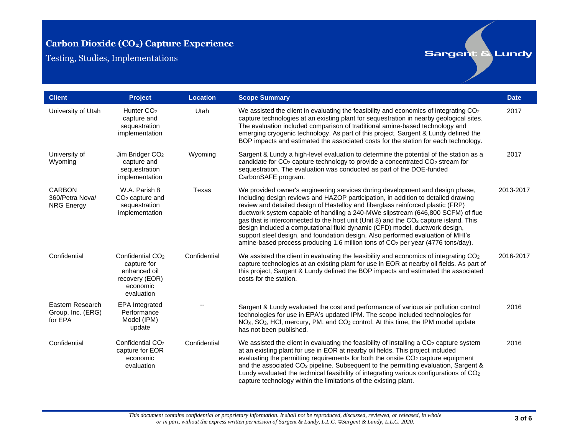Testing, Studies, Implementations

| <b>Client</b>                                         | <b>Project</b>                                                                                          | <b>Location</b> | <b>Scope Summary</b>                                                                                                                                                                                                                                                                                                                                                                                                                                                                                                                                                                                                                                                                                           | <b>Date</b> |
|-------------------------------------------------------|---------------------------------------------------------------------------------------------------------|-----------------|----------------------------------------------------------------------------------------------------------------------------------------------------------------------------------------------------------------------------------------------------------------------------------------------------------------------------------------------------------------------------------------------------------------------------------------------------------------------------------------------------------------------------------------------------------------------------------------------------------------------------------------------------------------------------------------------------------------|-------------|
| University of Utah                                    | Hunter CO <sub>2</sub><br>capture and<br>sequestration<br>implementation                                | Utah            | We assisted the client in evaluating the feasibility and economics of integrating CO <sub>2</sub><br>capture technologies at an existing plant for sequestration in nearby geological sites.<br>The evaluation included comparison of traditional amine-based technology and<br>emerging cryogenic technology. As part of this project, Sargent & Lundy defined the<br>BOP impacts and estimated the associated costs for the station for each technology.                                                                                                                                                                                                                                                     | 2017        |
| University of<br>Wyoming                              | Jim Bridger CO <sub>2</sub><br>capture and<br>sequestration<br>implementation                           | Wyoming         | Sargent & Lundy a high-level evaluation to determine the potential of the station as a<br>candidate for CO <sub>2</sub> capture technology to provide a concentrated CO <sub>2</sub> stream for<br>sequestration. The evaluation was conducted as part of the DOE-funded<br>CarbonSAFE program.                                                                                                                                                                                                                                                                                                                                                                                                                | 2017        |
| <b>CARBON</b><br>360/Petra Nova/<br><b>NRG Energy</b> | W.A. Parish 8<br>$CO2$ capture and<br>sequestration<br>implementation                                   | Texas           | We provided owner's engineering services during development and design phase,<br>Including design reviews and HAZOP participation, in addition to detailed drawing<br>review and detailed design of Hastelloy and fiberglass reinforced plastic (FRP)<br>ductwork system capable of handling a 240-MWe slipstream (646,800 SCFM) of flue<br>gas that is interconnected to the host unit (Unit 8) and the CO <sub>2</sub> capture island. This<br>design included a computational fluid dynamic (CFD) model, ductwork design,<br>support steel design, and foundation design. Also performed evaluation of MHI's<br>amine-based process producing 1.6 million tons of CO <sub>2</sub> per year (4776 tons/day). | 2013-2017   |
| Confidential                                          | Confidential CO <sub>2</sub><br>capture for<br>enhanced oil<br>recovery (EOR)<br>economic<br>evaluation | Confidential    | We assisted the client in evaluating the feasibility and economics of integrating $CO2$<br>capture technologies at an existing plant for use in EOR at nearby oil fields. As part of<br>this project, Sargent & Lundy defined the BOP impacts and estimated the associated<br>costs for the station.                                                                                                                                                                                                                                                                                                                                                                                                           | 2016-2017   |
| Eastern Research<br>Group, Inc. (ERG)<br>for EPA      | <b>EPA</b> Integrated<br>Performance<br>Model (IPM)<br>update                                           |                 | Sargent & Lundy evaluated the cost and performance of various air pollution control<br>technologies for use in EPA's updated IPM. The scope included technologies for<br>NO <sub>x</sub> , SO <sub>2</sub> , HCl, mercury, PM, and CO <sub>2</sub> control. At this time, the IPM model update<br>has not been published.                                                                                                                                                                                                                                                                                                                                                                                      | 2016        |
| Confidential                                          | Confidential CO <sub>2</sub><br>capture for EOR<br>economic<br>evaluation                               | Confidential    | We assisted the client in evaluating the feasibility of installing a $CO2$ capture system<br>at an existing plant for use in EOR at nearby oil fields. This project included<br>evaluating the permitting requirements for both the onsite CO <sub>2</sub> capture equipment<br>and the associated CO <sub>2</sub> pipeline. Subsequent to the permitting evaluation, Sargent &<br>Lundy evaluated the technical feasibility of integrating various configurations of CO <sub>2</sub><br>capture technology within the limitations of the existing plant.                                                                                                                                                      | 2016        |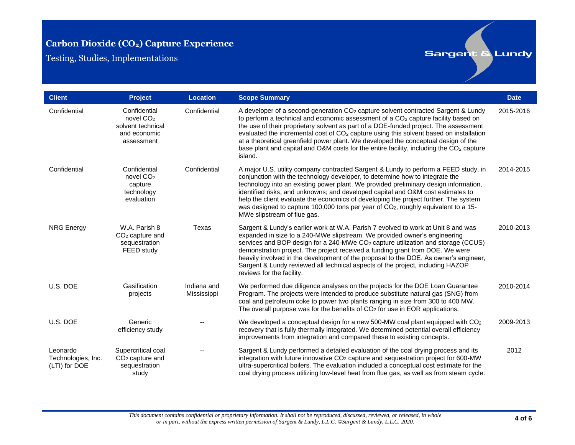Testing, Studies, Implementations

| <b>Client</b>                                   | Project                                                                                  | <b>Location</b>            | <b>Scope Summary</b>                                                                                                                                                                                                                                                                                                                                                                                                                                                                                                                                                                                 | <b>Date</b> |
|-------------------------------------------------|------------------------------------------------------------------------------------------|----------------------------|------------------------------------------------------------------------------------------------------------------------------------------------------------------------------------------------------------------------------------------------------------------------------------------------------------------------------------------------------------------------------------------------------------------------------------------------------------------------------------------------------------------------------------------------------------------------------------------------------|-------------|
| Confidential                                    | Confidential<br>novel CO <sub>2</sub><br>solvent technical<br>and economic<br>assessment | Confidential               | A developer of a second-generation CO <sub>2</sub> capture solvent contracted Sargent & Lundy<br>to perform a technical and economic assessment of a CO <sub>2</sub> capture facility based on<br>the use of their proprietary solvent as part of a DOE-funded project. The assessment<br>evaluated the incremental cost of CO <sub>2</sub> capture using this solvent based on installation<br>at a theoretical greenfield power plant. We developed the conceptual design of the<br>base plant and capital and O&M costs for the entire facility, including the CO <sub>2</sub> capture<br>island. | 2015-2016   |
| Confidential                                    | Confidential<br>novel CO <sub>2</sub><br>capture<br>technology<br>evaluation             | Confidential               | A major U.S. utility company contracted Sargent & Lundy to perform a FEED study, in<br>conjunction with the technology developer, to determine how to integrate the<br>technology into an existing power plant. We provided preliminary design information,<br>identified risks, and unknowns; and developed capital and O&M cost estimates to<br>help the client evaluate the economics of developing the project further. The system<br>was designed to capture 100,000 tons per year of CO <sub>2</sub> , roughly equivalent to a 15-<br>MWe slipstream of flue gas.                              | 2014-2015   |
| <b>NRG Energy</b>                               | W.A. Parish 8<br>$CO2$ capture and<br>sequestration<br>FEED study                        | Texas                      | Sargent & Lundy's earlier work at W.A. Parish 7 evolved to work at Unit 8 and was<br>expanded in size to a 240-MWe slipstream. We provided owner's engineering<br>services and BOP design for a 240-MWe CO <sub>2</sub> capture utilization and storage (CCUS)<br>demonstration project. The project received a funding grant from DOE. We were<br>heavily involved in the development of the proposal to the DOE. As owner's engineer,<br>Sargent & Lundy reviewed all technical aspects of the project, including HAZOP<br>reviews for the facility.                                               | 2010-2013   |
| U.S. DOE                                        | Gasification<br>projects                                                                 | Indiana and<br>Mississippi | We performed due diligence analyses on the projects for the DOE Loan Guarantee<br>Program. The projects were intended to produce substitute natural gas (SNG) from<br>coal and petroleum coke to power two plants ranging in size from 300 to 400 MW.<br>The overall purpose was for the benefits of $CO2$ for use in EOR applications.                                                                                                                                                                                                                                                              | 2010-2014   |
| U.S. DOE                                        | Generic<br>efficiency study                                                              |                            | We developed a conceptual design for a new 500-MW coal plant equipped with $CO2$<br>recovery that is fully thermally integrated. We determined potential overall efficiency<br>improvements from integration and compared these to existing concepts.                                                                                                                                                                                                                                                                                                                                                | 2009-2013   |
| Leonardo<br>Technologies, Inc.<br>(LTI) for DOE | Supercritical coal<br>$CO2$ capture and<br>sequestration<br>study                        |                            | Sargent & Lundy performed a detailed evaluation of the coal drying process and its<br>integration with future innovative CO <sub>2</sub> capture and sequestration project for 600-MW<br>ultra-supercritical boilers. The evaluation included a conceptual cost estimate for the<br>coal drying process utilizing low-level heat from flue gas, as well as from steam cycle.                                                                                                                                                                                                                         | 2012        |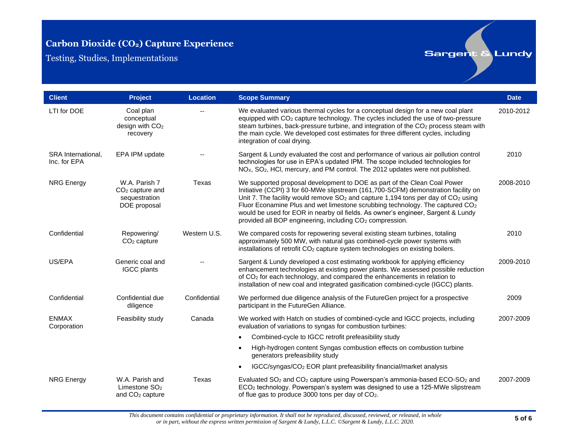Testing, Studies, Implementations

| <b>Client</b>                      | Project                                                             | <b>Location</b> | <b>Scope Summary</b>                                                                                                                                                                                                                                                                                                                                                                                                                                                                                             | <b>Date</b> |
|------------------------------------|---------------------------------------------------------------------|-----------------|------------------------------------------------------------------------------------------------------------------------------------------------------------------------------------------------------------------------------------------------------------------------------------------------------------------------------------------------------------------------------------------------------------------------------------------------------------------------------------------------------------------|-------------|
| LTI for DOE                        | Coal plan<br>conceptual<br>design with CO <sub>2</sub><br>recovery  |                 | We evaluated various thermal cycles for a conceptual design for a new coal plant<br>equipped with CO <sub>2</sub> capture technology. The cycles included the use of two-pressure<br>steam turbines, back-pressure turbine, and integration of the CO <sub>2</sub> process steam with<br>the main cycle. We developed cost estimates for three different cycles, including<br>integration of coal drying.                                                                                                        | 2010-2012   |
| SRA International,<br>Inc. for EPA | EPA IPM update                                                      |                 | Sargent & Lundy evaluated the cost and performance of various air pollution control<br>technologies for use in EPA's updated IPM. The scope included technologies for<br>NO <sub>x</sub> , SO <sub>2</sub> , HCI, mercury, and PM control. The 2012 updates were not published.                                                                                                                                                                                                                                  | 2010        |
| <b>NRG Energy</b>                  | W.A. Parish 7<br>$CO2$ capture and<br>sequestration<br>DOE proposal | Texas           | We supported proposal development to DOE as part of the Clean Coal Power<br>Initiative (CCPI) 3 for 60-MWe slipstream (161,700-SCFM) demonstration facility on<br>Unit 7. The facility would remove $SO2$ and capture 1,194 tons per day of $CO2$ using<br>Fluor Econamine Plus and wet limestone scrubbing technology. The captured CO <sub>2</sub><br>would be used for EOR in nearby oil fields. As owner's engineer, Sargent & Lundy<br>provided all BOP engineering, including CO <sub>2</sub> compression. | 2008-2010   |
| Confidential                       | Repowering/<br>$CO2$ capture                                        | Western U.S.    | We compared costs for repowering several existing steam turbines, totaling<br>approximately 500 MW, with natural gas combined-cycle power systems with<br>installations of retrofit CO <sub>2</sub> capture system technologies on existing boilers.                                                                                                                                                                                                                                                             | 2010        |
| US/EPA                             | Generic coal and<br><b>IGCC</b> plants                              |                 | Sargent & Lundy developed a cost estimating workbook for applying efficiency<br>enhancement technologies at existing power plants. We assessed possible reduction<br>of CO <sub>2</sub> for each technology, and compared the enhancements in relation to<br>installation of new coal and integrated gasification combined-cycle (IGCC) plants.                                                                                                                                                                  | 2009-2010   |
| Confidential                       | Confidential due<br>diligence                                       | Confidential    | We performed due diligence analysis of the FutureGen project for a prospective<br>participant in the FutureGen Alliance.                                                                                                                                                                                                                                                                                                                                                                                         | 2009        |
| <b>ENMAX</b><br>Corporation        | Feasibility study                                                   | Canada          | We worked with Hatch on studies of combined-cycle and IGCC projects, including<br>evaluation of variations to syngas for combustion turbines:                                                                                                                                                                                                                                                                                                                                                                    | 2007-2009   |
|                                    |                                                                     |                 | Combined-cycle to IGCC retrofit prefeasibility study<br>$\bullet$                                                                                                                                                                                                                                                                                                                                                                                                                                                |             |
|                                    |                                                                     |                 | High-hydrogen content Syngas combustion effects on combustion turbine<br>$\bullet$<br>generators prefeasibility study                                                                                                                                                                                                                                                                                                                                                                                            |             |
|                                    |                                                                     |                 | IGCC/syngas/CO <sub>2</sub> EOR plant prefeasibility financial/market analysis<br>$\bullet$                                                                                                                                                                                                                                                                                                                                                                                                                      |             |
| <b>NRG Energy</b>                  | W.A. Parish and<br>Limestone $SO2$<br>and CO <sub>2</sub> capture   | Texas           | Evaluated SO <sub>2</sub> and CO <sub>2</sub> capture using Powerspan's ammonia-based ECO-SO <sub>2</sub> and<br>ECO <sub>2</sub> technology. Powerspan's system was designed to use a 125-MWe slipstream<br>of flue gas to produce 3000 tons per day of CO <sub>2</sub> .                                                                                                                                                                                                                                       | 2007-2009   |